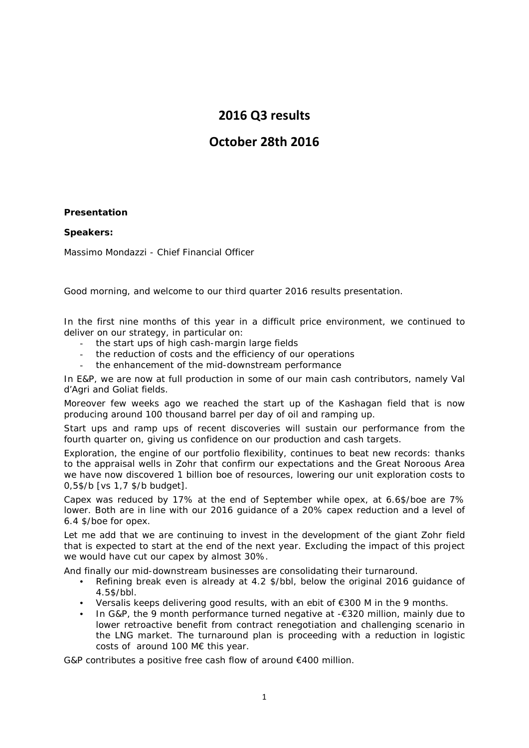# **2016 Q3 results**

# **October 28th 2016**

### **Presentation**

#### **Speakers:**

Massimo Mondazzi - Chief Financial Officer

Good morning, and welcome to our third quarter 2016 results presentation.

In the first nine months of this year in a difficult price environment, we continued to deliver on our strategy, in particular on:

- the start ups of high cash-margin large fields
- the reduction of costs and the efficiency of our operations
- the enhancement of the mid-downstream performance

In E&P, we are now at full production in some of our main cash contributors, namely Val d'Agri and Goliat fields.

Moreover few weeks ago we reached the start up of the Kashagan field that is now producing around 100 thousand barrel per day of oil and ramping up.

Start ups and ramp ups of recent discoveries will sustain our performance from the fourth quarter on, giving us confidence on our production and cash targets.

Exploration, the engine of our portfolio flexibility, continues to beat new records: thanks to the appraisal wells in Zohr that confirm our expectations and the Great Noroous Area we have now discovered 1 billion boe of resources, lowering our unit exploration costs to 0,5\$/b [vs 1,7 \$/b budget].

Capex was reduced by 17% at the end of September while opex, at 6.6\$/boe are 7% lower. Both are in line with our 2016 guidance of a 20% capex reduction and a level of 6.4 \$/boe for opex.

Let me add that we are continuing to invest in the development of the giant Zohr field that is expected to start at the end of the next year. Excluding the impact of this project we would have cut our capex by almost 30%.

And finally our mid-downstream businesses are consolidating their turnaround.

- Refining break even is already at 4.2 \$/bbl, below the original 2016 guidance of 4.5\$/bbl.
- Versalis keeps delivering good results, with an ebit of €300 M in the 9 months.
- In G&P, the 9 month performance turned negative at  $-€320$  million, mainly due to lower retroactive benefit from contract renegotiation and challenging scenario in the LNG market. The turnaround plan is proceeding with a reduction in logistic costs of around 100 M€ this year.

G&P contributes a positive free cash flow of around €400 million.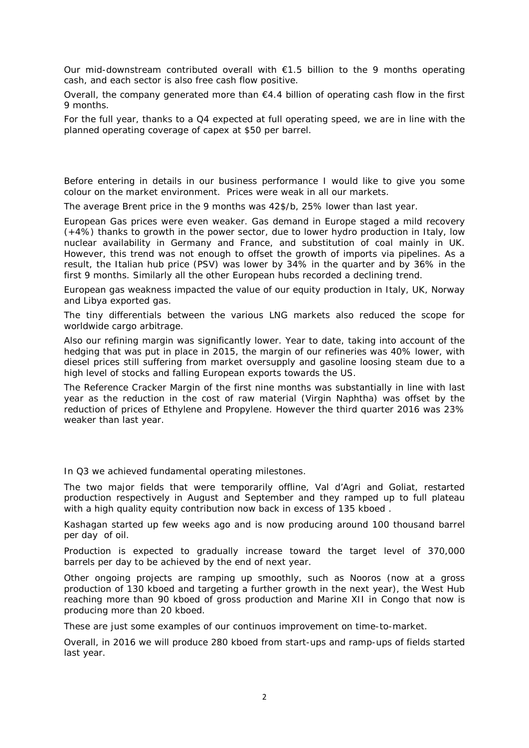Our mid-downstream contributed overall with  $\epsilon$ 1.5 billion to the 9 months operating cash, and each sector is also free cash flow positive.

Overall, the company generated more than  $\epsilon$ 4.4 billion of operating cash flow in the first 9 months.

For the full year, thanks to a Q4 expected at full operating speed, we are in line with the planned operating coverage of capex at \$50 per barrel.

Before entering in details in our business performance I would like to give you some colour on the market environment. Prices were weak in all our markets.

The average Brent price in the 9 months was 42\$/b, 25% lower than last year.

European Gas prices were even weaker. Gas demand in Europe staged a mild recovery (+4%) thanks to growth in the power sector, due to lower hydro production in Italy, low nuclear availability in Germany and France, and substitution of coal mainly in UK. However, this trend was not enough to offset the growth of imports via pipelines. As a result, the Italian hub price (PSV) was lower by 34% in the quarter and by 36% in the first 9 months. Similarly all the other European hubs recorded a declining trend.

European gas weakness impacted the value of our equity production in Italy, UK, Norway and Libya exported gas.

The tiny differentials between the various LNG markets also reduced the scope for worldwide cargo arbitrage.

Also our refining margin was significantly lower. Year to date, taking into account of the hedging that was put in place in 2015, the margin of our refineries was 40% lower, with diesel prices still suffering from market oversupply and gasoline loosing steam due to a high level of stocks and falling European exports towards the US.

The Reference Cracker Margin of the first nine months was substantially in line with last year as the reduction in the cost of raw material (Virgin Naphtha) was offset by the reduction of prices of Ethylene and Propylene. However the third quarter 2016 was 23% weaker than last year.

In Q3 we achieved fundamental operating milestones.

The two major fields that were temporarily offline, Val d'Agri and Goliat, restarted production respectively in August and September and they ramped up to full plateau with a high quality equity contribution now back in excess of 135 kboed.

Kashagan started up few weeks ago and is now producing around 100 thousand barrel per day of oil.

Production is expected to gradually increase toward the target level of 370,000 barrels per day to be achieved by the end of next year.

Other ongoing projects are ramping up smoothly, such as Nooros (now at a gross production of 130 kboed and targeting a further growth in the next year), the West Hub reaching more than 90 kboed of gross production and Marine XII in Congo that now is producing more than 20 kboed.

These are just some examples of our continuos improvement on time-to-market.

Overall, in 2016 we will produce 280 kboed from start-ups and ramp-ups of fields started last year.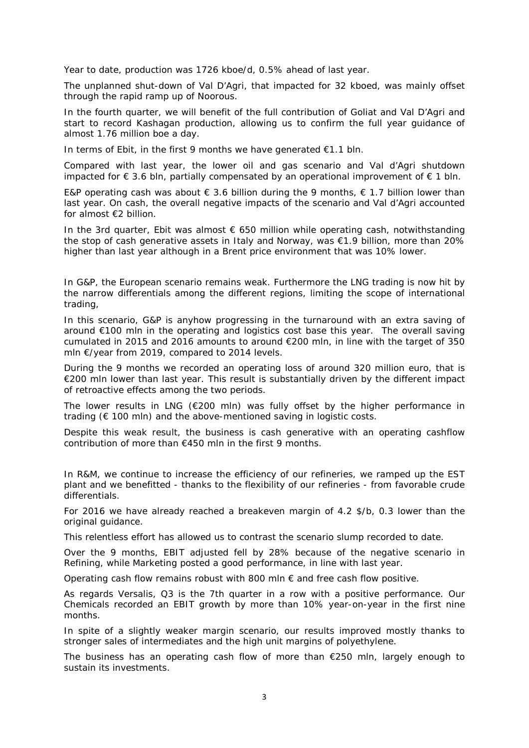Year to date, production was 1726 kboe/d, 0.5% ahead of last year.

The unplanned shut-down of Val D'Agri, that impacted for 32 kboed, was mainly offset through the rapid ramp up of Noorous.

In the fourth quarter, we will benefit of the full contribution of Goliat and Val D'Agri and start to record Kashagan production, allowing us to confirm the full year guidance of almost 1.76 million boe a day.

In terms of Ebit, in the first 9 months we have generated €1.1 bln.

Compared with last year, the lower oil and gas scenario and Val d'Agri shutdown impacted for € 3.6 bln, partially compensated by an operational improvement of  $∈ 1$  bln.

E&P operating cash was about  $\epsilon$  3.6 billion during the 9 months,  $\epsilon$  1.7 billion lower than last year. On cash, the overall negative impacts of the scenario and Val d'Agri accounted for almost €2 billion.

In the 3rd quarter, Ebit was almost  $\epsilon$  650 million while operating cash, notwithstanding the stop of cash generative assets in Italy and Norway, was €1.9 billion, more than 20% higher than last year although in a Brent price environment that was 10% lower.

In G&P, the European scenario remains weak. Furthermore the LNG trading is now hit by the narrow differentials among the different regions, limiting the scope of international trading,

In this scenario, G&P is anyhow progressing in the turnaround with an extra saving of around €100 mln in the operating and logistics cost base this year. The overall saving cumulated in 2015 and 2016 amounts to around €200 mln, in line with the target of 350 mln €/year from 2019, compared to 2014 levels.

During the 9 months we recorded an operating loss of around 320 million euro, that is €200 mln lower than last year. This result is substantially driven by the different impact of retroactive effects among the two periods.

The lower results in LNG (€200 mln) was fully offset by the higher performance in trading ( $\epsilon$  100 mln) and the above-mentioned saving in logistic costs.

Despite this weak result, the business is cash generative with an operating cashflow contribution of more than €450 mln in the first 9 months.

In R&M, we continue to increase the efficiency of our refineries, we ramped up the EST plant and we benefitted - thanks to the flexibility of our refineries - from favorable crude differentials.

For 2016 we have already reached a breakeven margin of 4.2 \$/b, 0.3 lower than the original guidance.

This relentless effort has allowed us to contrast the scenario slump recorded to date.

Over the 9 months, EBIT adjusted fell by 28% because of the negative scenario in Refining, while Marketing posted a good performance, in line with last year.

Operating cash flow remains robust with 800 mln  $\epsilon$  and free cash flow positive.

As regards Versalis, Q3 is the 7th quarter in a row with a positive performance. Our Chemicals recorded an EBIT growth by more than 10% year-on-year in the first nine months.

In spite of a slightly weaker margin scenario, our results improved mostly thanks to stronger sales of intermediates and the high unit margins of polyethylene.

The business has an operating cash flow of more than  $E$ 250 mln, largely enough to sustain its investments.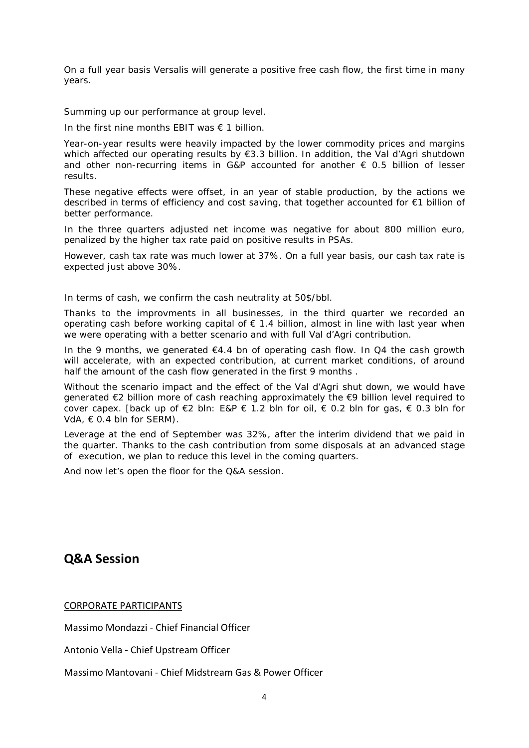On a full year basis Versalis will generate a positive free cash flow, the first time in many years.

Summing up our performance at group level.

In the first nine months EBIT was  $\epsilon$  1 billion.

Year-on-year results were heavily impacted by the lower commodity prices and margins which affected our operating results by €3.3 billion. In addition, the Val d'Agri shutdown and other non-recurring items in G&P accounted for another  $\epsilon$  0.5 billion of lesser results.

These negative effects were offset, in an year of stable production, by the actions we described in terms of efficiency and cost saving, that together accounted for €1 billion of better performance.

In the three quarters adjusted net income was negative for about 800 million euro, penalized by the higher tax rate paid on positive results in PSAs.

However, cash tax rate was much lower at 37%. On a full year basis, our cash tax rate is expected just above 30%.

In terms of cash, we confirm the cash neutrality at 50\$/bbl.

Thanks to the improvments in all businesses, in the third quarter we recorded an operating cash before working capital of  $\epsilon$  1.4 billion, almost in line with last year when we were operating with a better scenario and with full Val d'Agri contribution.

In the 9 months, we generated  $E4.4$  bn of operating cash flow. In Q4 the cash growth will accelerate, with an expected contribution, at current market conditions, of around half the amount of the cash flow generated in the first 9 months .

Without the scenario impact and the effect of the Val d'Agri shut down, we would have generated €2 billion more of cash reaching approximately the €9 billion level required to cover capex. [back up of €2 bln: E&P € 1.2 bln for oil, € 0.2 bln for gas, € 0.3 bln for  $VdA, \in 0.4$  bln for SERM).

Leverage at the end of September was 32%, after the interim dividend that we paid in the quarter. Thanks to the cash contribution from some disposals at an advanced stage of execution, we plan to reduce this level in the coming quarters.

And now let's open the floor for the Q&A session.

# **Q&A Session**

CORPORATE PARTICIPANTS

Massimo Mondazzi - Chief Financial Officer

Antonio Vella - Chief Upstream Officer

Massimo Mantovani - Chief Midstream Gas & Power Officer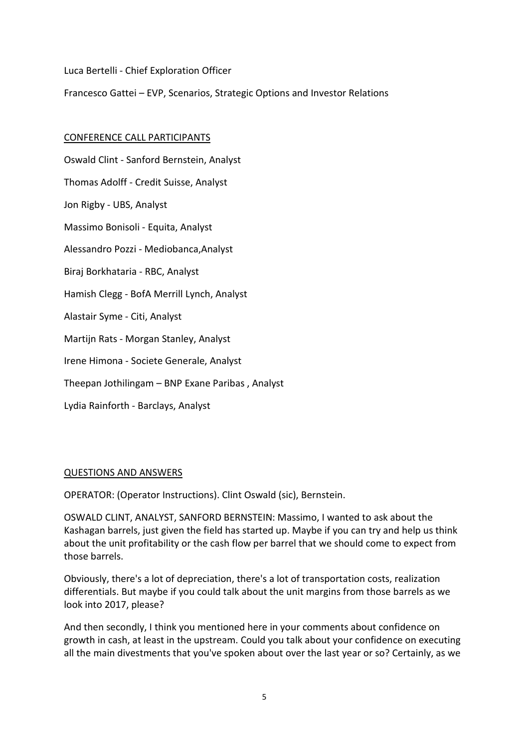Luca Bertelli - Chief Exploration Officer

Francesco Gattei – EVP, Scenarios, Strategic Options and Investor Relations

## CONFERENCE CALL PARTICIPANTS

Oswald Clint - Sanford Bernstein, Analyst Thomas Adolff - Credit Suisse, Analyst Jon Rigby - UBS, Analyst Massimo Bonisoli - Equita, Analyst Alessandro Pozzi - Mediobanca,Analyst Biraj Borkhataria - RBC, Analyst Hamish Clegg - BofA Merrill Lynch, Analyst Alastair Syme - Citi, Analyst Martijn Rats - Morgan Stanley, Analyst Irene Himona - Societe Generale, Analyst Theepan Jothilingam – BNP Exane Paribas , Analyst Lydia Rainforth - Barclays, Analyst

### QUESTIONS AND ANSWERS

OPERATOR: (Operator Instructions). Clint Oswald (sic), Bernstein.

OSWALD CLINT, ANALYST, SANFORD BERNSTEIN: Massimo, I wanted to ask about the Kashagan barrels, just given the field has started up. Maybe if you can try and help us think about the unit profitability or the cash flow per barrel that we should come to expect from those barrels.

Obviously, there's a lot of depreciation, there's a lot of transportation costs, realization differentials. But maybe if you could talk about the unit margins from those barrels as we look into 2017, please?

And then secondly, I think you mentioned here in your comments about confidence on growth in cash, at least in the upstream. Could you talk about your confidence on executing all the main divestments that you've spoken about over the last year or so? Certainly, as we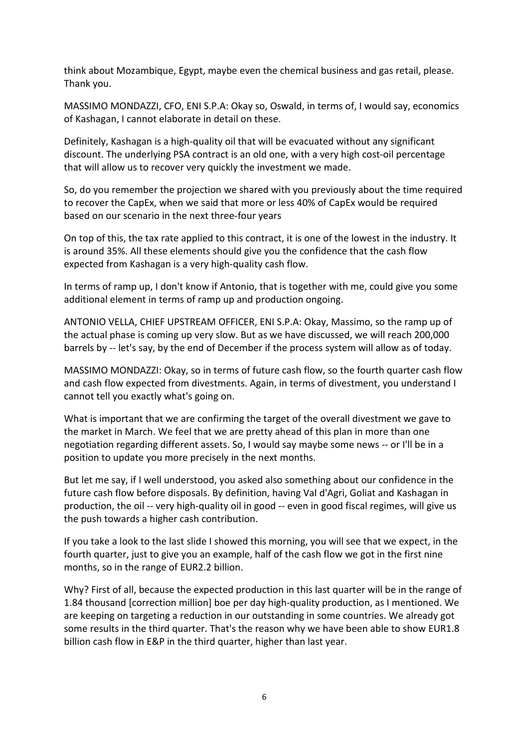think about Mozambique, Egypt, maybe even the chemical business and gas retail, please. Thank you.

MASSIMO MONDAZZI, CFO, ENI S.P.A: Okay so, Oswald, in terms of, I would say, economics of Kashagan, I cannot elaborate in detail on these.

Definitely, Kashagan is a high-quality oil that will be evacuated without any significant discount. The underlying PSA contract is an old one, with a very high cost-oil percentage that will allow us to recover very quickly the investment we made.

So, do you remember the projection we shared with you previously about the time required to recover the CapEx, when we said that more or less 40% of CapEx would be required based on our scenario in the next three-four years

On top of this, the tax rate applied to this contract, it is one of the lowest in the industry. It is around 35%. All these elements should give you the confidence that the cash flow expected from Kashagan is a very high-quality cash flow.

In terms of ramp up, I don't know if Antonio, that is together with me, could give you some additional element in terms of ramp up and production ongoing.

ANTONIO VELLA, CHIEF UPSTREAM OFFICER, ENI S.P.A: Okay, Massimo, so the ramp up of the actual phase is coming up very slow. But as we have discussed, we will reach 200,000 barrels by -- let's say, by the end of December if the process system will allow as of today.

MASSIMO MONDAZZI: Okay, so in terms of future cash flow, so the fourth quarter cash flow and cash flow expected from divestments. Again, in terms of divestment, you understand I cannot tell you exactly what's going on.

What is important that we are confirming the target of the overall divestment we gave to the market in March. We feel that we are pretty ahead of this plan in more than one negotiation regarding different assets. So, I would say maybe some news -- or I'll be in a position to update you more precisely in the next months.

But let me say, if I well understood, you asked also something about our confidence in the future cash flow before disposals. By definition, having Val d'Agri, Goliat and Kashagan in production, the oil -- very high-quality oil in good -- even in good fiscal regimes, will give us the push towards a higher cash contribution.

If you take a look to the last slide I showed this morning, you will see that we expect, in the fourth quarter, just to give you an example, half of the cash flow we got in the first nine months, so in the range of EUR2.2 billion.

Why? First of all, because the expected production in this last quarter will be in the range of 1.84 thousand [correction million] boe per day high-quality production, as I mentioned. We are keeping on targeting a reduction in our outstanding in some countries. We already got some results in the third quarter. That's the reason why we have been able to show EUR1.8 billion cash flow in E&P in the third quarter, higher than last year.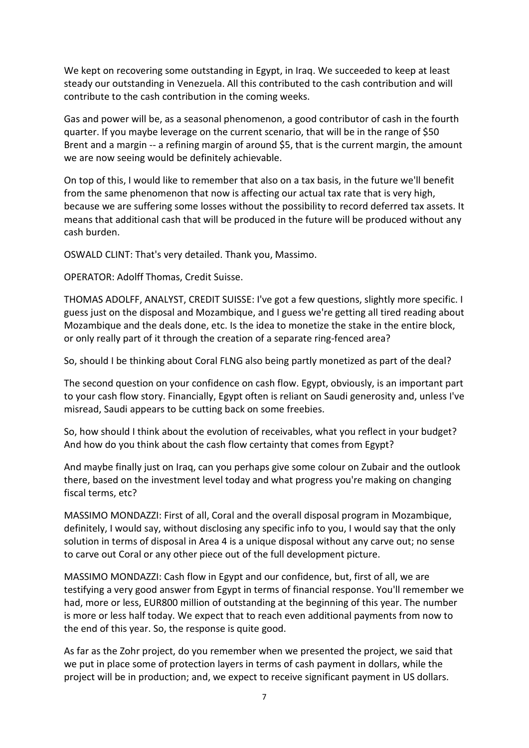We kept on recovering some outstanding in Egypt, in Iraq. We succeeded to keep at least steady our outstanding in Venezuela. All this contributed to the cash contribution and will contribute to the cash contribution in the coming weeks.

Gas and power will be, as a seasonal phenomenon, a good contributor of cash in the fourth quarter. If you maybe leverage on the current scenario, that will be in the range of \$50 Brent and a margin -- a refining margin of around \$5, that is the current margin, the amount we are now seeing would be definitely achievable.

On top of this, I would like to remember that also on a tax basis, in the future we'll benefit from the same phenomenon that now is affecting our actual tax rate that is very high, because we are suffering some losses without the possibility to record deferred tax assets. It means that additional cash that will be produced in the future will be produced without any cash burden.

OSWALD CLINT: That's very detailed. Thank you, Massimo.

OPERATOR: Adolff Thomas, Credit Suisse.

THOMAS ADOLFF, ANALYST, CREDIT SUISSE: I've got a few questions, slightly more specific. I guess just on the disposal and Mozambique, and I guess we're getting all tired reading about Mozambique and the deals done, etc. Is the idea to monetize the stake in the entire block, or only really part of it through the creation of a separate ring-fenced area?

So, should I be thinking about Coral FLNG also being partly monetized as part of the deal?

The second question on your confidence on cash flow. Egypt, obviously, is an important part to your cash flow story. Financially, Egypt often is reliant on Saudi generosity and, unless I've misread, Saudi appears to be cutting back on some freebies.

So, how should I think about the evolution of receivables, what you reflect in your budget? And how do you think about the cash flow certainty that comes from Egypt?

And maybe finally just on Iraq, can you perhaps give some colour on Zubair and the outlook there, based on the investment level today and what progress you're making on changing fiscal terms, etc?

MASSIMO MONDAZZI: First of all, Coral and the overall disposal program in Mozambique, definitely, I would say, without disclosing any specific info to you, I would say that the only solution in terms of disposal in Area 4 is a unique disposal without any carve out; no sense to carve out Coral or any other piece out of the full development picture.

MASSIMO MONDAZZI: Cash flow in Egypt and our confidence, but, first of all, we are testifying a very good answer from Egypt in terms of financial response. You'll remember we had, more or less, EUR800 million of outstanding at the beginning of this year. The number is more or less half today. We expect that to reach even additional payments from now to the end of this year. So, the response is quite good.

As far as the Zohr project, do you remember when we presented the project, we said that we put in place some of protection layers in terms of cash payment in dollars, while the project will be in production; and, we expect to receive significant payment in US dollars.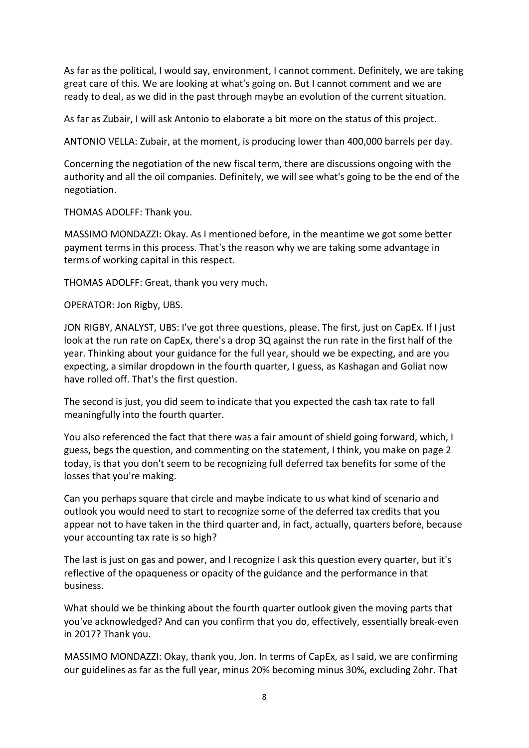As far as the political, I would say, environment, I cannot comment. Definitely, we are taking great care of this. We are looking at what's going on. But I cannot comment and we are ready to deal, as we did in the past through maybe an evolution of the current situation.

As far as Zubair, I will ask Antonio to elaborate a bit more on the status of this project.

ANTONIO VELLA: Zubair, at the moment, is producing lower than 400,000 barrels per day.

Concerning the negotiation of the new fiscal term, there are discussions ongoing with the authority and all the oil companies. Definitely, we will see what's going to be the end of the negotiation.

THOMAS ADOLFF: Thank you.

MASSIMO MONDAZZI: Okay. As I mentioned before, in the meantime we got some better payment terms in this process. That's the reason why we are taking some advantage in terms of working capital in this respect.

THOMAS ADOLFF: Great, thank you very much.

OPERATOR: Jon Rigby, UBS.

JON RIGBY, ANALYST, UBS: I've got three questions, please. The first, just on CapEx. If I just look at the run rate on CapEx, there's a drop 3Q against the run rate in the first half of the year. Thinking about your guidance for the full year, should we be expecting, and are you expecting, a similar dropdown in the fourth quarter, I guess, as Kashagan and Goliat now have rolled off. That's the first question.

The second is just, you did seem to indicate that you expected the cash tax rate to fall meaningfully into the fourth quarter.

You also referenced the fact that there was a fair amount of shield going forward, which, I guess, begs the question, and commenting on the statement, I think, you make on page 2 today, is that you don't seem to be recognizing full deferred tax benefits for some of the losses that you're making.

Can you perhaps square that circle and maybe indicate to us what kind of scenario and outlook you would need to start to recognize some of the deferred tax credits that you appear not to have taken in the third quarter and, in fact, actually, quarters before, because your accounting tax rate is so high?

The last is just on gas and power, and I recognize I ask this question every quarter, but it's reflective of the opaqueness or opacity of the guidance and the performance in that business.

What should we be thinking about the fourth quarter outlook given the moving parts that you've acknowledged? And can you confirm that you do, effectively, essentially break-even in 2017? Thank you.

MASSIMO MONDAZZI: Okay, thank you, Jon. In terms of CapEx, as I said, we are confirming our guidelines as far as the full year, minus 20% becoming minus 30%, excluding Zohr. That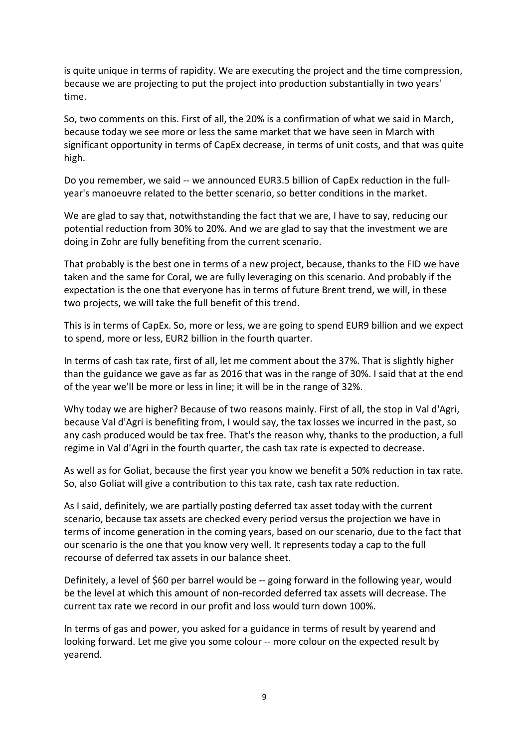is quite unique in terms of rapidity. We are executing the project and the time compression, because we are projecting to put the project into production substantially in two years' time.

So, two comments on this. First of all, the 20% is a confirmation of what we said in March, because today we see more or less the same market that we have seen in March with significant opportunity in terms of CapEx decrease, in terms of unit costs, and that was quite high.

Do you remember, we said -- we announced EUR3.5 billion of CapEx reduction in the fullyear's manoeuvre related to the better scenario, so better conditions in the market.

We are glad to say that, notwithstanding the fact that we are, I have to say, reducing our potential reduction from 30% to 20%. And we are glad to say that the investment we are doing in Zohr are fully benefiting from the current scenario.

That probably is the best one in terms of a new project, because, thanks to the FID we have taken and the same for Coral, we are fully leveraging on this scenario. And probably if the expectation is the one that everyone has in terms of future Brent trend, we will, in these two projects, we will take the full benefit of this trend.

This is in terms of CapEx. So, more or less, we are going to spend EUR9 billion and we expect to spend, more or less, EUR2 billion in the fourth quarter.

In terms of cash tax rate, first of all, let me comment about the 37%. That is slightly higher than the guidance we gave as far as 2016 that was in the range of 30%. I said that at the end of the year we'll be more or less in line; it will be in the range of 32%.

Why today we are higher? Because of two reasons mainly. First of all, the stop in Val d'Agri, because Val d'Agri is benefiting from, I would say, the tax losses we incurred in the past, so any cash produced would be tax free. That's the reason why, thanks to the production, a full regime in Val d'Agri in the fourth quarter, the cash tax rate is expected to decrease.

As well as for Goliat, because the first year you know we benefit a 50% reduction in tax rate. So, also Goliat will give a contribution to this tax rate, cash tax rate reduction.

As I said, definitely, we are partially posting deferred tax asset today with the current scenario, because tax assets are checked every period versus the projection we have in terms of income generation in the coming years, based on our scenario, due to the fact that our scenario is the one that you know very well. It represents today a cap to the full recourse of deferred tax assets in our balance sheet.

Definitely, a level of \$60 per barrel would be -- going forward in the following year, would be the level at which this amount of non-recorded deferred tax assets will decrease. The current tax rate we record in our profit and loss would turn down 100%.

In terms of gas and power, you asked for a guidance in terms of result by yearend and looking forward. Let me give you some colour -- more colour on the expected result by yearend.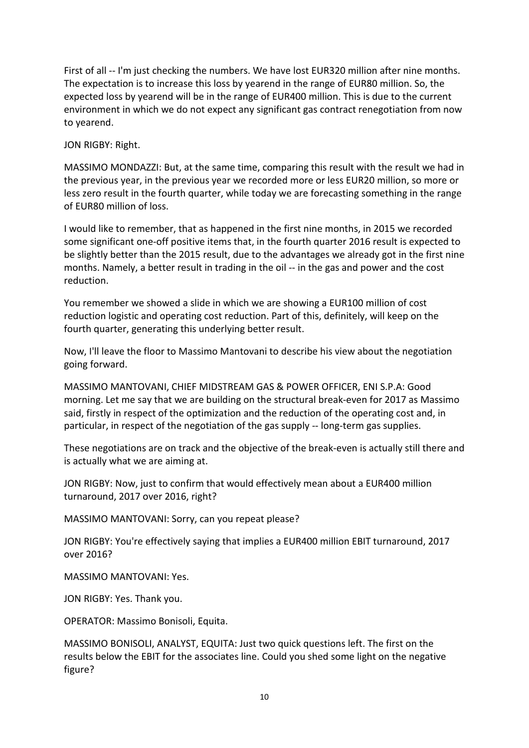First of all -- I'm just checking the numbers. We have lost EUR320 million after nine months. The expectation is to increase this loss by yearend in the range of EUR80 million. So, the expected loss by yearend will be in the range of EUR400 million. This is due to the current environment in which we do not expect any significant gas contract renegotiation from now to yearend.

JON RIGBY: Right.

MASSIMO MONDAZZI: But, at the same time, comparing this result with the result we had in the previous year, in the previous year we recorded more or less EUR20 million, so more or less zero result in the fourth quarter, while today we are forecasting something in the range of EUR80 million of loss.

I would like to remember, that as happened in the first nine months, in 2015 we recorded some significant one-off positive items that, in the fourth quarter 2016 result is expected to be slightly better than the 2015 result, due to the advantages we already got in the first nine months. Namely, a better result in trading in the oil -- in the gas and power and the cost reduction.

You remember we showed a slide in which we are showing a EUR100 million of cost reduction logistic and operating cost reduction. Part of this, definitely, will keep on the fourth quarter, generating this underlying better result.

Now, I'll leave the floor to Massimo Mantovani to describe his view about the negotiation going forward.

MASSIMO MANTOVANI, CHIEF MIDSTREAM GAS & POWER OFFICER, ENI S.P.A: Good morning. Let me say that we are building on the structural break-even for 2017 as Massimo said, firstly in respect of the optimization and the reduction of the operating cost and, in particular, in respect of the negotiation of the gas supply -- long-term gas supplies.

These negotiations are on track and the objective of the break-even is actually still there and is actually what we are aiming at.

JON RIGBY: Now, just to confirm that would effectively mean about a EUR400 million turnaround, 2017 over 2016, right?

MASSIMO MANTOVANI: Sorry, can you repeat please?

JON RIGBY: You're effectively saying that implies a EUR400 million EBIT turnaround, 2017 over 2016?

MASSIMO MANTOVANI: Yes.

JON RIGBY: Yes. Thank you.

OPERATOR: Massimo Bonisoli, Equita.

MASSIMO BONISOLI, ANALYST, EQUITA: Just two quick questions left. The first on the results below the EBIT for the associates line. Could you shed some light on the negative figure?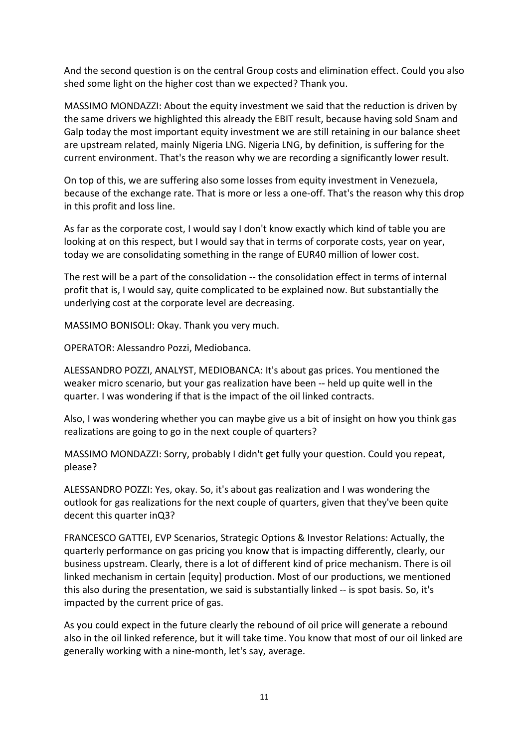And the second question is on the central Group costs and elimination effect. Could you also shed some light on the higher cost than we expected? Thank you.

MASSIMO MONDAZZI: About the equity investment we said that the reduction is driven by the same drivers we highlighted this already the EBIT result, because having sold Snam and Galp today the most important equity investment we are still retaining in our balance sheet are upstream related, mainly Nigeria LNG. Nigeria LNG, by definition, is suffering for the current environment. That's the reason why we are recording a significantly lower result.

On top of this, we are suffering also some losses from equity investment in Venezuela, because of the exchange rate. That is more or less a one-off. That's the reason why this drop in this profit and loss line.

As far as the corporate cost, I would say I don't know exactly which kind of table you are looking at on this respect, but I would say that in terms of corporate costs, year on year, today we are consolidating something in the range of EUR40 million of lower cost.

The rest will be a part of the consolidation -- the consolidation effect in terms of internal profit that is, I would say, quite complicated to be explained now. But substantially the underlying cost at the corporate level are decreasing.

MASSIMO BONISOLI: Okay. Thank you very much.

OPERATOR: Alessandro Pozzi, Mediobanca.

ALESSANDRO POZZI, ANALYST, MEDIOBANCA: It's about gas prices. You mentioned the weaker micro scenario, but your gas realization have been -- held up quite well in the quarter. I was wondering if that is the impact of the oil linked contracts.

Also, I was wondering whether you can maybe give us a bit of insight on how you think gas realizations are going to go in the next couple of quarters?

MASSIMO MONDAZZI: Sorry, probably I didn't get fully your question. Could you repeat, please?

ALESSANDRO POZZI: Yes, okay. So, it's about gas realization and I was wondering the outlook for gas realizations for the next couple of quarters, given that they've been quite decent this quarter inQ3?

FRANCESCO GATTEI, EVP Scenarios, Strategic Options & Investor Relations: Actually, the quarterly performance on gas pricing you know that is impacting differently, clearly, our business upstream. Clearly, there is a lot of different kind of price mechanism. There is oil linked mechanism in certain [equity] production. Most of our productions, we mentioned this also during the presentation, we said is substantially linked -- is spot basis. So, it's impacted by the current price of gas.

As you could expect in the future clearly the rebound of oil price will generate a rebound also in the oil linked reference, but it will take time. You know that most of our oil linked are generally working with a nine-month, let's say, average.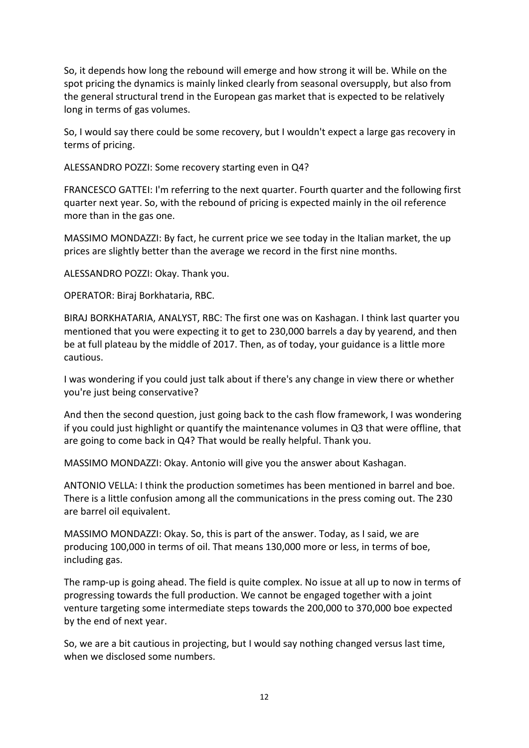So, it depends how long the rebound will emerge and how strong it will be. While on the spot pricing the dynamics is mainly linked clearly from seasonal oversupply, but also from the general structural trend in the European gas market that is expected to be relatively long in terms of gas volumes.

So, I would say there could be some recovery, but I wouldn't expect a large gas recovery in terms of pricing.

ALESSANDRO POZZI: Some recovery starting even in Q4?

FRANCESCO GATTEI: I'm referring to the next quarter. Fourth quarter and the following first quarter next year. So, with the rebound of pricing is expected mainly in the oil reference more than in the gas one.

MASSIMO MONDAZZI: By fact, he current price we see today in the Italian market, the up prices are slightly better than the average we record in the first nine months.

ALESSANDRO POZZI: Okay. Thank you.

OPERATOR: Biraj Borkhataria, RBC.

BIRAJ BORKHATARIA, ANALYST, RBC: The first one was on Kashagan. I think last quarter you mentioned that you were expecting it to get to 230,000 barrels a day by yearend, and then be at full plateau by the middle of 2017. Then, as of today, your guidance is a little more cautious.

I was wondering if you could just talk about if there's any change in view there or whether you're just being conservative?

And then the second question, just going back to the cash flow framework, I was wondering if you could just highlight or quantify the maintenance volumes in Q3 that were offline, that are going to come back in Q4? That would be really helpful. Thank you.

MASSIMO MONDAZZI: Okay. Antonio will give you the answer about Kashagan.

ANTONIO VELLA: I think the production sometimes has been mentioned in barrel and boe. There is a little confusion among all the communications in the press coming out. The 230 are barrel oil equivalent.

MASSIMO MONDAZZI: Okay. So, this is part of the answer. Today, as I said, we are producing 100,000 in terms of oil. That means 130,000 more or less, in terms of boe, including gas.

The ramp-up is going ahead. The field is quite complex. No issue at all up to now in terms of progressing towards the full production. We cannot be engaged together with a joint venture targeting some intermediate steps towards the 200,000 to 370,000 boe expected by the end of next year.

So, we are a bit cautious in projecting, but I would say nothing changed versus last time, when we disclosed some numbers.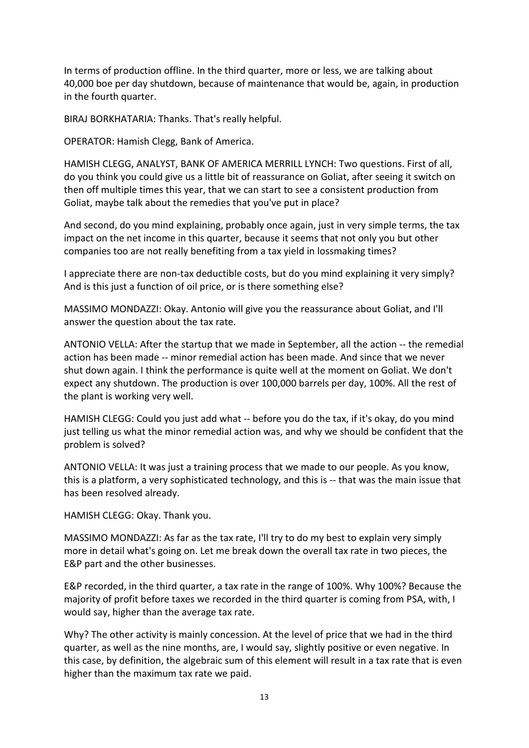In terms of production offline. In the third quarter, more or less, we are talking about 40,000 boe per day shutdown, because of maintenance that would be, again, in production in the fourth quarter.

BIRAJ BORKHATARIA: Thanks. That's really helpful.

OPERATOR: Hamish Clegg, Bank of America.

HAMISH CLEGG, ANALYST, BANK OF AMERICA MERRILL LYNCH: Two questions. First of all, do you think you could give us a little bit of reassurance on Goliat, after seeing it switch on then off multiple times this year, that we can start to see a consistent production from Goliat, maybe talk about the remedies that you've put in place?

And second, do you mind explaining, probably once again, just in very simple terms, the tax impact on the net income in this quarter, because it seems that not only you but other companies too are not really benefiting from a tax yield in lossmaking times?

I appreciate there are non-tax deductible costs, but do you mind explaining it very simply? And is this just a function of oil price, or is there something else?

MASSIMO MONDAZZI: Okay. Antonio will give you the reassurance about Goliat, and I'll answer the question about the tax rate.

ANTONIO VELLA: After the startup that we made in September, all the action -- the remedial action has been made -- minor remedial action has been made. And since that we never shut down again. I think the performance is quite well at the moment on Goliat. We don't expect any shutdown. The production is over 100,000 barrels per day, 100%. All the rest of the plant is working very well.

HAMISH CLEGG: Could you just add what -- before you do the tax, if it's okay, do you mind just telling us what the minor remedial action was, and why we should be confident that the problem is solved?

ANTONIO VELLA: It was just a training process that we made to our people. As you know, this is a platform, a very sophisticated technology, and this is -- that was the main issue that has been resolved already.

HAMISH CLEGG: Okay. Thank you.

MASSIMO MONDAZZI: As far as the tax rate, I'll try to do my best to explain very simply more in detail what's going on. Let me break down the overall tax rate in two pieces, the E&P part and the other businesses.

E&P recorded, in the third quarter, a tax rate in the range of 100%. Why 100%? Because the majority of profit before taxes we recorded in the third quarter is coming from PSA, with, I would say, higher than the average tax rate.

Why? The other activity is mainly concession. At the level of price that we had in the third quarter, as well as the nine months, are, I would say, slightly positive or even negative. In this case, by definition, the algebraic sum of this element will result in a tax rate that is even higher than the maximum tax rate we paid.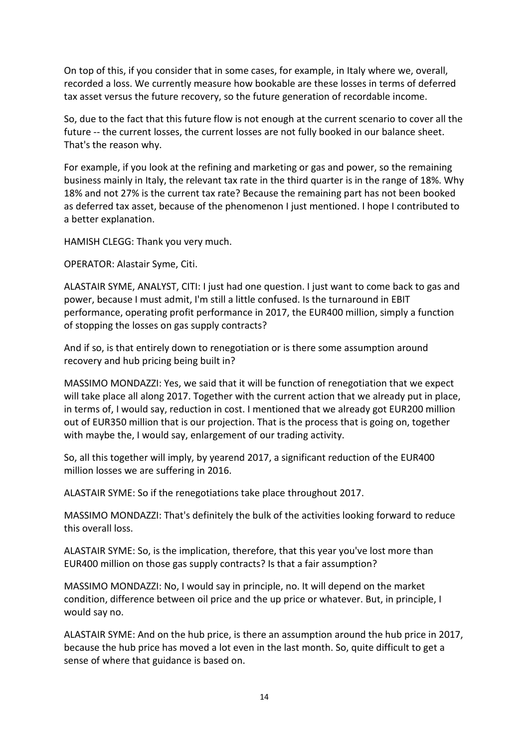On top of this, if you consider that in some cases, for example, in Italy where we, overall, recorded a loss. We currently measure how bookable are these losses in terms of deferred tax asset versus the future recovery, so the future generation of recordable income.

So, due to the fact that this future flow is not enough at the current scenario to cover all the future -- the current losses, the current losses are not fully booked in our balance sheet. That's the reason why.

For example, if you look at the refining and marketing or gas and power, so the remaining business mainly in Italy, the relevant tax rate in the third quarter is in the range of 18%. Why 18% and not 27% is the current tax rate? Because the remaining part has not been booked as deferred tax asset, because of the phenomenon I just mentioned. I hope I contributed to a better explanation.

HAMISH CLEGG: Thank you very much.

OPERATOR: Alastair Syme, Citi.

ALASTAIR SYME, ANALYST, CITI: I just had one question. I just want to come back to gas and power, because I must admit, I'm still a little confused. Is the turnaround in EBIT performance, operating profit performance in 2017, the EUR400 million, simply a function of stopping the losses on gas supply contracts?

And if so, is that entirely down to renegotiation or is there some assumption around recovery and hub pricing being built in?

MASSIMO MONDAZZI: Yes, we said that it will be function of renegotiation that we expect will take place all along 2017. Together with the current action that we already put in place, in terms of, I would say, reduction in cost. I mentioned that we already got EUR200 million out of EUR350 million that is our projection. That is the process that is going on, together with maybe the, I would say, enlargement of our trading activity.

So, all this together will imply, by yearend 2017, a significant reduction of the EUR400 million losses we are suffering in 2016.

ALASTAIR SYME: So if the renegotiations take place throughout 2017.

MASSIMO MONDAZZI: That's definitely the bulk of the activities looking forward to reduce this overall loss.

ALASTAIR SYME: So, is the implication, therefore, that this year you've lost more than EUR400 million on those gas supply contracts? Is that a fair assumption?

MASSIMO MONDAZZI: No, I would say in principle, no. It will depend on the market condition, difference between oil price and the up price or whatever. But, in principle, I would say no.

ALASTAIR SYME: And on the hub price, is there an assumption around the hub price in 2017, because the hub price has moved a lot even in the last month. So, quite difficult to get a sense of where that guidance is based on.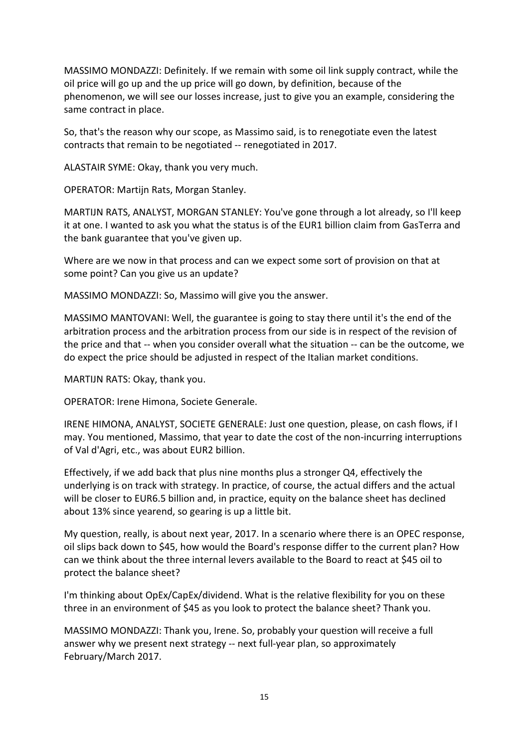MASSIMO MONDAZZI: Definitely. If we remain with some oil link supply contract, while the oil price will go up and the up price will go down, by definition, because of the phenomenon, we will see our losses increase, just to give you an example, considering the same contract in place.

So, that's the reason why our scope, as Massimo said, is to renegotiate even the latest contracts that remain to be negotiated -- renegotiated in 2017.

ALASTAIR SYME: Okay, thank you very much.

OPERATOR: Martijn Rats, Morgan Stanley.

MARTIJN RATS, ANALYST, MORGAN STANLEY: You've gone through a lot already, so I'll keep it at one. I wanted to ask you what the status is of the EUR1 billion claim from GasTerra and the bank guarantee that you've given up.

Where are we now in that process and can we expect some sort of provision on that at some point? Can you give us an update?

MASSIMO MONDAZZI: So, Massimo will give you the answer.

MASSIMO MANTOVANI: Well, the guarantee is going to stay there until it's the end of the arbitration process and the arbitration process from our side is in respect of the revision of the price and that -- when you consider overall what the situation -- can be the outcome, we do expect the price should be adjusted in respect of the Italian market conditions.

MARTIJN RATS: Okay, thank you.

OPERATOR: Irene Himona, Societe Generale.

IRENE HIMONA, ANALYST, SOCIETE GENERALE: Just one question, please, on cash flows, if I may. You mentioned, Massimo, that year to date the cost of the non-incurring interruptions of Val d'Agri, etc., was about EUR2 billion.

Effectively, if we add back that plus nine months plus a stronger Q4, effectively the underlying is on track with strategy. In practice, of course, the actual differs and the actual will be closer to EUR6.5 billion and, in practice, equity on the balance sheet has declined about 13% since yearend, so gearing is up a little bit.

My question, really, is about next year, 2017. In a scenario where there is an OPEC response, oil slips back down to \$45, how would the Board's response differ to the current plan? How can we think about the three internal levers available to the Board to react at \$45 oil to protect the balance sheet?

I'm thinking about OpEx/CapEx/dividend. What is the relative flexibility for you on these three in an environment of \$45 as you look to protect the balance sheet? Thank you.

MASSIMO MONDAZZI: Thank you, Irene. So, probably your question will receive a full answer why we present next strategy -- next full-year plan, so approximately February/March 2017.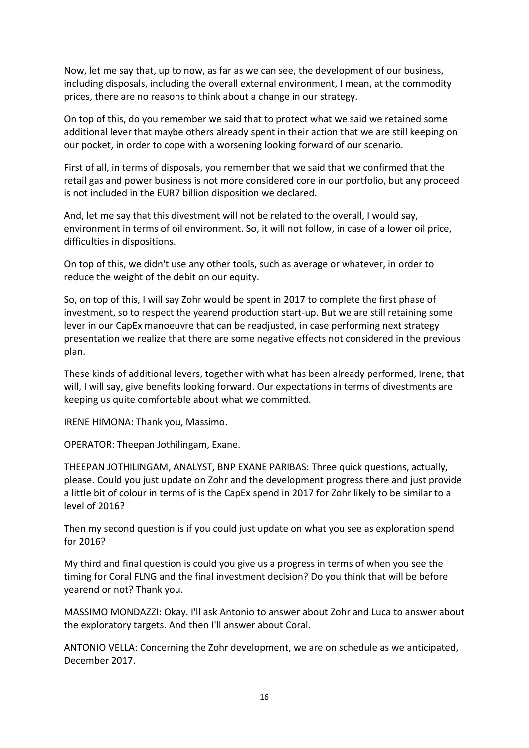Now, let me say that, up to now, as far as we can see, the development of our business, including disposals, including the overall external environment, I mean, at the commodity prices, there are no reasons to think about a change in our strategy.

On top of this, do you remember we said that to protect what we said we retained some additional lever that maybe others already spent in their action that we are still keeping on our pocket, in order to cope with a worsening looking forward of our scenario.

First of all, in terms of disposals, you remember that we said that we confirmed that the retail gas and power business is not more considered core in our portfolio, but any proceed is not included in the EUR7 billion disposition we declared.

And, let me say that this divestment will not be related to the overall, I would say, environment in terms of oil environment. So, it will not follow, in case of a lower oil price, difficulties in dispositions.

On top of this, we didn't use any other tools, such as average or whatever, in order to reduce the weight of the debit on our equity.

So, on top of this, I will say Zohr would be spent in 2017 to complete the first phase of investment, so to respect the yearend production start-up. But we are still retaining some lever in our CapEx manoeuvre that can be readjusted, in case performing next strategy presentation we realize that there are some negative effects not considered in the previous plan.

These kinds of additional levers, together with what has been already performed, Irene, that will, I will say, give benefits looking forward. Our expectations in terms of divestments are keeping us quite comfortable about what we committed.

IRENE HIMONA: Thank you, Massimo.

OPERATOR: Theepan Jothilingam, Exane.

THEEPAN JOTHILINGAM, ANALYST, BNP EXANE PARIBAS: Three quick questions, actually, please. Could you just update on Zohr and the development progress there and just provide a little bit of colour in terms of is the CapEx spend in 2017 for Zohr likely to be similar to a level of 2016?

Then my second question is if you could just update on what you see as exploration spend for 2016?

My third and final question is could you give us a progress in terms of when you see the timing for Coral FLNG and the final investment decision? Do you think that will be before yearend or not? Thank you.

MASSIMO MONDAZZI: Okay. I'll ask Antonio to answer about Zohr and Luca to answer about the exploratory targets. And then I'll answer about Coral.

ANTONIO VELLA: Concerning the Zohr development, we are on schedule as we anticipated, December 2017.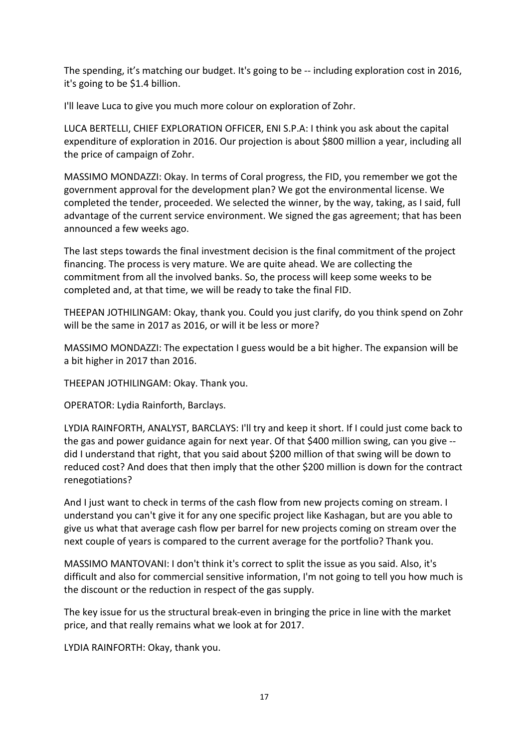The spending, it's matching our budget. It's going to be -- including exploration cost in 2016, it's going to be \$1.4 billion.

I'll leave Luca to give you much more colour on exploration of Zohr.

LUCA BERTELLI, CHIEF EXPLORATION OFFICER, ENI S.P.A: I think you ask about the capital expenditure of exploration in 2016. Our projection is about \$800 million a year, including all the price of campaign of Zohr.

MASSIMO MONDAZZI: Okay. In terms of Coral progress, the FID, you remember we got the government approval for the development plan? We got the environmental license. We completed the tender, proceeded. We selected the winner, by the way, taking, as I said, full advantage of the current service environment. We signed the gas agreement; that has been announced a few weeks ago.

The last steps towards the final investment decision is the final commitment of the project financing. The process is very mature. We are quite ahead. We are collecting the commitment from all the involved banks. So, the process will keep some weeks to be completed and, at that time, we will be ready to take the final FID.

THEEPAN JOTHILINGAM: Okay, thank you. Could you just clarify, do you think spend on Zohr will be the same in 2017 as 2016, or will it be less or more?

MASSIMO MONDAZZI: The expectation I guess would be a bit higher. The expansion will be a bit higher in 2017 than 2016.

THEEPAN JOTHILINGAM: Okay. Thank you.

OPERATOR: Lydia Rainforth, Barclays.

LYDIA RAINFORTH, ANALYST, BARCLAYS: I'll try and keep it short. If I could just come back to the gas and power guidance again for next year. Of that \$400 million swing, can you give - did I understand that right, that you said about \$200 million of that swing will be down to reduced cost? And does that then imply that the other \$200 million is down for the contract renegotiations?

And I just want to check in terms of the cash flow from new projects coming on stream. I understand you can't give it for any one specific project like Kashagan, but are you able to give us what that average cash flow per barrel for new projects coming on stream over the next couple of years is compared to the current average for the portfolio? Thank you.

MASSIMO MANTOVANI: I don't think it's correct to split the issue as you said. Also, it's difficult and also for commercial sensitive information, I'm not going to tell you how much is the discount or the reduction in respect of the gas supply.

The key issue for us the structural break-even in bringing the price in line with the market price, and that really remains what we look at for 2017.

LYDIA RAINFORTH: Okay, thank you.